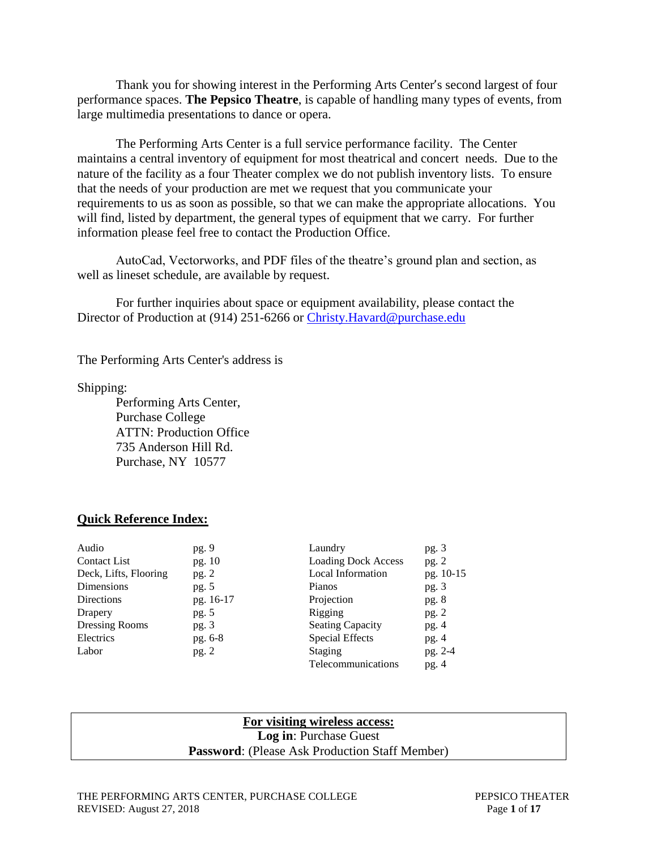Thank you for showing interest in the Performing Arts Center's second largest of four performance spaces. **The Pepsico Theatre**, is capable of handling many types of events, from large multimedia presentations to dance or opera.

The Performing Arts Center is a full service performance facility. The Center maintains a central inventory of equipment for most theatrical and concert needs. Due to the nature of the facility as a four Theater complex we do not publish inventory lists. To ensure that the needs of your production are met we request that you communicate your requirements to us as soon as possible, so that we can make the appropriate allocations. You will find, listed by department, the general types of equipment that we carry. For further information please feel free to contact the Production Office.

AutoCad, Vectorworks, and PDF files of the theatre's ground plan and section, as well as lineset schedule, are available by request.

For further inquiries about space or equipment availability, please contact the Director of Production at (914) 251-6266 or [Christy.Havard@purchase.edu](mailto:Christy.Havard@purchase.edu)

The Performing Arts Center's address is

Shipping:

Performing Arts Center, Purchase College ATTN: Production Office 735 Anderson Hill Rd. Purchase, NY 10577

#### **Quick Reference Index:**

| pg. 9     | Laundry                    | pg.3      |
|-----------|----------------------------|-----------|
| pg. 10    | <b>Loading Dock Access</b> | pg. $2$   |
| pg. 2     | Local Information          | pg. 10-15 |
| pg. 5     | Pianos                     | pg.3      |
| pg. 16-17 | Projection                 | pg.8      |
| pg. 5     | Rigging                    | pg. $2$   |
| pg. $3$   | <b>Seating Capacity</b>    | pg.4      |
| pg. 6-8   | <b>Special Effects</b>     | pg.4      |
| pg. 2     | Staging                    | pg. 2-4   |
|           | <b>Telecommunications</b>  | pg.4      |
|           |                            |           |

#### **For visiting wireless access: Log in**: Purchase Guest **Password**: (Please Ask Production Staff Member)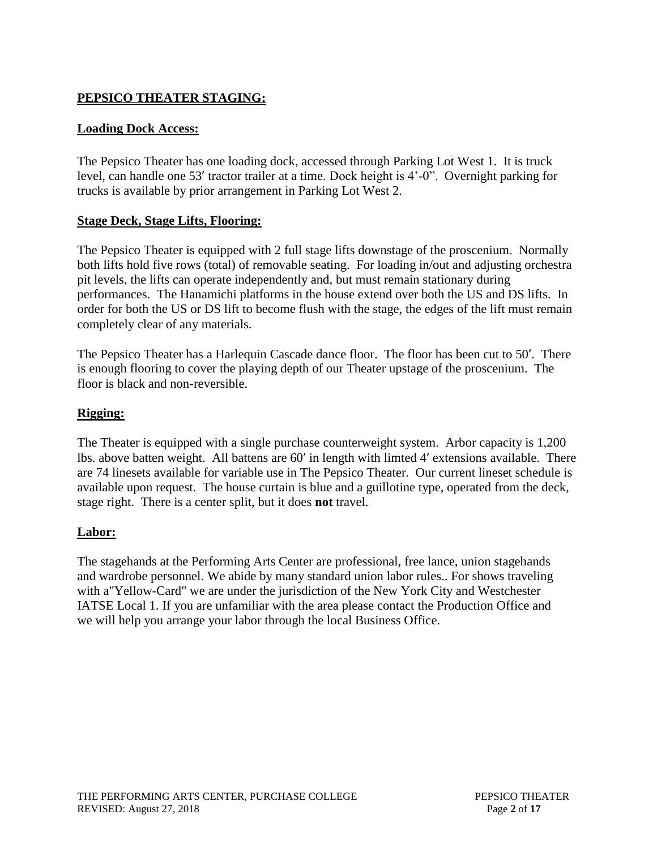# **PEPSICO THEATER STAGING:**

# **Loading Dock Access:**

The Pepsico Theater has one loading dock, accessed through Parking Lot West 1. It is truck level, can handle one 53' tractor trailer at a time. Dock height is 4'-0". Overnight parking for trucks is available by prior arrangement in Parking Lot West 2.

## **Stage Deck, Stage Lifts, Flooring:**

The Pepsico Theater is equipped with 2 full stage lifts downstage of the proscenium. Normally both lifts hold five rows (total) of removable seating. For loading in/out and adjusting orchestra pit levels, the lifts can operate independently and, but must remain stationary during performances. The Hanamichi platforms in the house extend over both the US and DS lifts. In order for both the US or DS lift to become flush with the stage, the edges of the lift must remain completely clear of any materials.

The Pepsico Theater has a Harlequin Cascade dance floor. The floor has been cut to 50'. There is enough flooring to cover the playing depth of our Theater upstage of the proscenium. The floor is black and non-reversible.

# **Rigging:**

The Theater is equipped with a single purchase counterweight system. Arbor capacity is 1,200 lbs. above batten weight. All battens are 60' in length with limted 4' extensions available. There are 74 linesets available for variable use in The Pepsico Theater. Our current lineset schedule is available upon request. The house curtain is blue and a guillotine type, operated from the deck, stage right. There is a center split, but it does **not** travel.

### **Labor:**

The stagehands at the Performing Arts Center are professional, free lance, union stagehands and wardrobe personnel. We abide by many standard union labor rules.. For shows traveling with a"Yellow-Card" we are under the jurisdiction of the New York City and Westchester IATSE Local 1. If you are unfamiliar with the area please contact the Production Office and we will help you arrange your labor through the local Business Office.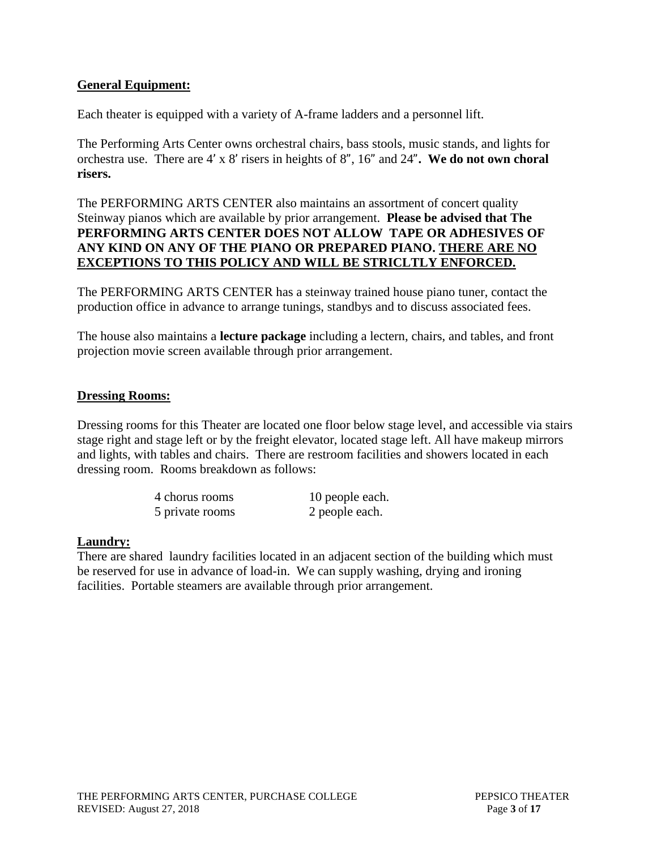# **General Equipment:**

Each theater is equipped with a variety of A-frame ladders and a personnel lift.

The Performing Arts Center owns orchestral chairs, bass stools, music stands, and lights for orchestra use. There are 4' x 8' risers in heights of 8", 16" and 24"**. We do not own choral risers.** 

# The PERFORMING ARTS CENTER also maintains an assortment of concert quality Steinway pianos which are available by prior arrangement. **Please be advised that The PERFORMING ARTS CENTER DOES NOT ALLOW TAPE OR ADHESIVES OF ANY KIND ON ANY OF THE PIANO OR PREPARED PIANO. THERE ARE NO EXCEPTIONS TO THIS POLICY AND WILL BE STRICLTLY ENFORCED.**

The PERFORMING ARTS CENTER has a steinway trained house piano tuner, contact the production office in advance to arrange tunings, standbys and to discuss associated fees.

The house also maintains a **lecture package** including a lectern, chairs, and tables, and front projection movie screen available through prior arrangement.

### **Dressing Rooms:**

Dressing rooms for this Theater are located one floor below stage level, and accessible via stairs stage right and stage left or by the freight elevator, located stage left. All have makeup mirrors and lights, with tables and chairs. There are restroom facilities and showers located in each dressing room. Rooms breakdown as follows:

| 4 chorus rooms  | 10 people each. |
|-----------------|-----------------|
| 5 private rooms | 2 people each.  |

### **Laundry:**

There are shared laundry facilities located in an adjacent section of the building which must be reserved for use in advance of load-in. We can supply washing, drying and ironing facilities. Portable steamers are available through prior arrangement.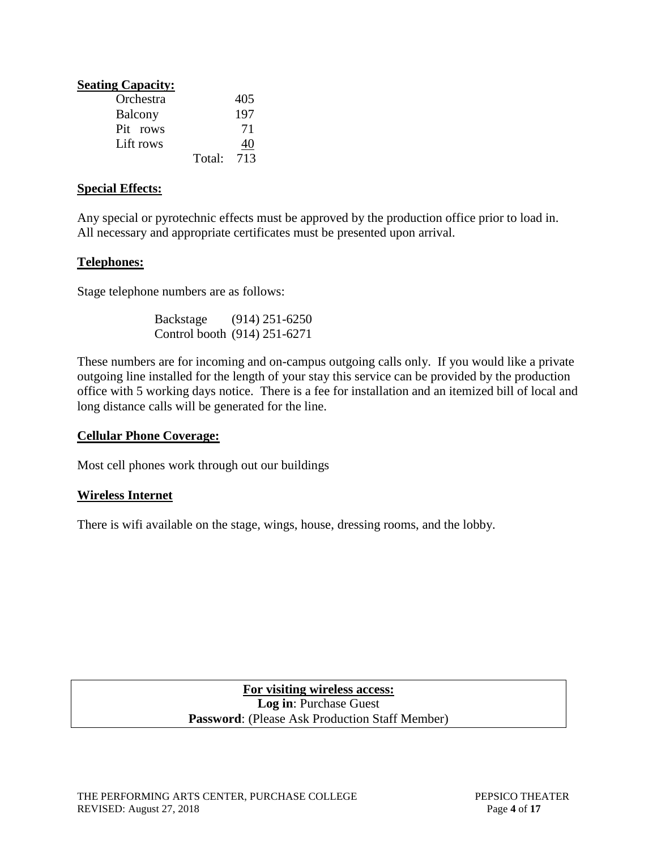| <b>Seating Capacity:</b> |        |     |
|--------------------------|--------|-----|
| Orchestra                |        | 405 |
| Balcony                  |        | 197 |
| Pit rows                 |        | 71  |
| Lift rows                |        | 40  |
|                          | Total: | 713 |

### **Special Effects:**

Any special or pyrotechnic effects must be approved by the production office prior to load in. All necessary and appropriate certificates must be presented upon arrival.

## **Telephones:**

Stage telephone numbers are as follows:

| Backstage | $(914)$ 251-6250             |
|-----------|------------------------------|
|           | Control booth (914) 251-6271 |

These numbers are for incoming and on-campus outgoing calls only. If you would like a private outgoing line installed for the length of your stay this service can be provided by the production office with 5 working days notice. There is a fee for installation and an itemized bill of local and long distance calls will be generated for the line.

### **Cellular Phone Coverage:**

Most cell phones work through out our buildings

# **Wireless Internet**

There is wifi available on the stage, wings, house, dressing rooms, and the lobby.

# **For visiting wireless access: Log in**: Purchase Guest **Password**: (Please Ask Production Staff Member)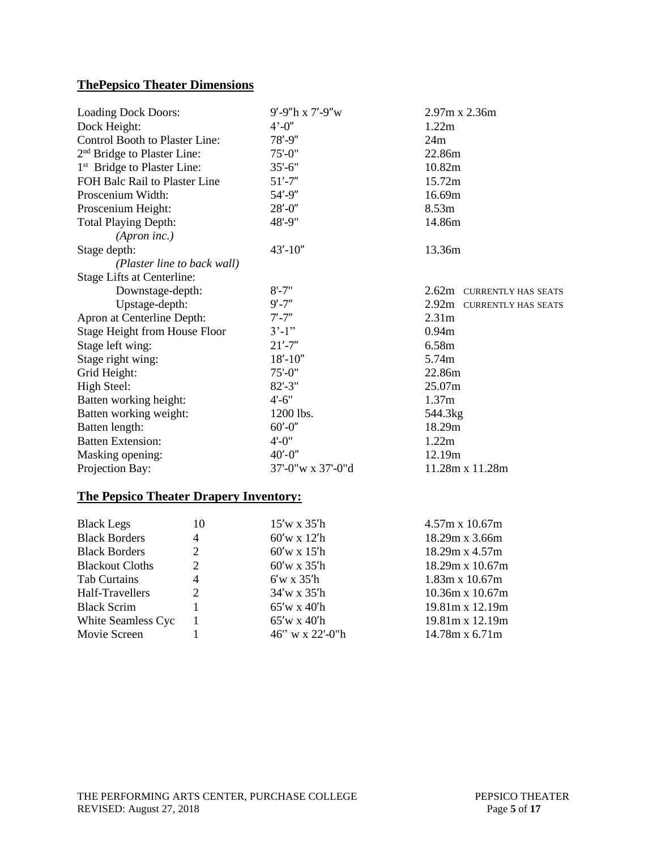# **ThePepsico Theater Dimensions**

| <b>Loading Dock Doors:</b>              | 9'-9"h x 7'-9"w   | 2.97m x 2.36m             |
|-----------------------------------------|-------------------|---------------------------|
| Dock Height:                            | $4' - 0''$        | 1.22m                     |
| Control Booth to Plaster Line:          | $78' - 9''$       | 24m                       |
| 2 <sup>nd</sup> Bridge to Plaster Line: | $75' - 0$ "       | 22.86m                    |
| 1 <sup>st</sup> Bridge to Plaster Line: | $35'-6$ "         | 10.82m                    |
| FOH Balc Rail to Plaster Line           | $51' - 7''$       | 15.72m                    |
| Proscenium Width:                       | $54' - 9''$       | 16.69m                    |
| Proscenium Height:                      | $28' - 0''$       | 8.53m                     |
| <b>Total Playing Depth:</b>             | $48' - 9''$       | 14.86m                    |
| (Apron inc.)                            |                   |                           |
| Stage depth:                            | $43' - 10''$      | 13.36m                    |
| (Plaster line to back wall)             |                   |                           |
| <b>Stage Lifts at Centerline:</b>       |                   |                           |
| Downstage-depth:                        | $8' - 7"$         | 2.62m CURRENTLY HAS SEATS |
| Upstage-depth:                          | $9' - 7''$        | 2.92m CURRENTLY HAS SEATS |
| Apron at Centerline Depth:              | $7' - 7"$         | 2.31 <sub>m</sub>         |
| <b>Stage Height from House Floor</b>    | $3'-1"$           | 0.94m                     |
| Stage left wing:                        | $21' - 7''$       | 6.58m                     |
| Stage right wing:                       | $18' - 10''$      | 5.74m                     |
| Grid Height:                            | $75' - 0$ "       | 22.86m                    |
| High Steel:                             | $82 - 3"$         | 25.07m                    |
| Batten working height:                  | $4' - 6''$        | 1.37m                     |
| Batten working weight:                  | 1200 lbs.         | 544.3kg                   |
| Batten length:                          | $60' - 0''$       | 18.29m                    |
| <b>Batten Extension:</b>                | $4' - 0''$        | 1.22m                     |
| Masking opening:                        | $40' - 0''$       | 12.19m                    |
| Projection Bay:                         | 37'-0"w x 37'-0"d | 11.28m x 11.28m           |

# **The Pepsico Theater Drapery Inventory:**

| <b>Black Legs</b>      | 10             | $15'$ w x $35'$ h  | $4.57m \times 10.67m$  |
|------------------------|----------------|--------------------|------------------------|
| <b>Black Borders</b>   | $\overline{4}$ | $60'$ w x 12'h     | 18.29m x 3.66m         |
| <b>Black Borders</b>   | 2              | $60'$ w x 15'h     | $18.29m \times 4.57m$  |
| <b>Blackout Cloths</b> | 2              | $60'$ w x 35'h     | $18.29m \times 10.67m$ |
| Tab Curtains           | $\overline{4}$ | $6'w \times 35'h$  | $1.83m \times 10.67m$  |
| Half-Travellers        | 2              | 34'w x 35'h        | $10.36m \times 10.67m$ |
| <b>Black Scrim</b>     |                | $65'w \times 40'h$ | $19.81m \times 12.19m$ |
| White Seamless Cyc     |                | $65'w \times 40'h$ | 19.81m x 12.19m        |
| Movie Screen           |                | 46" w x 22'-0"h    | $14.78m \times 6.71m$  |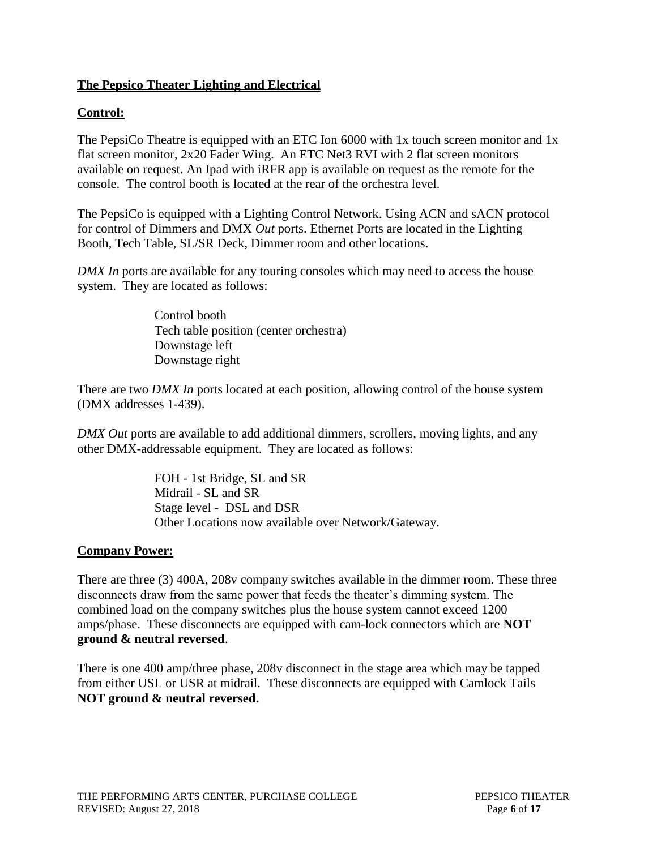# **The Pepsico Theater Lighting and Electrical**

# **Control:**

The PepsiCo Theatre is equipped with an ETC Ion 6000 with 1x touch screen monitor and 1x flat screen monitor, 2x20 Fader Wing. An ETC Net3 RVI with 2 flat screen monitors available on request. An Ipad with iRFR app is available on request as the remote for the console. The control booth is located at the rear of the orchestra level.

The PepsiCo is equipped with a Lighting Control Network. Using ACN and sACN protocol for control of Dimmers and DMX *Out* ports. Ethernet Ports are located in the Lighting Booth, Tech Table, SL/SR Deck, Dimmer room and other locations.

*DMX In* ports are available for any touring consoles which may need to access the house system. They are located as follows:

> Control booth Tech table position (center orchestra) Downstage left Downstage right

There are two *DMX In* ports located at each position, allowing control of the house system (DMX addresses 1-439).

*DMX Out* ports are available to add additional dimmers, scrollers, moving lights, and any other DMX-addressable equipment. They are located as follows:

> FOH - 1st Bridge, SL and SR Midrail - SL and SR Stage level - DSL and DSR Other Locations now available over Network/Gateway.

# **Company Power:**

There are three (3) 400A, 208v company switches available in the dimmer room. These three disconnects draw from the same power that feeds the theater's dimming system. The combined load on the company switches plus the house system cannot exceed 1200 amps/phase. These disconnects are equipped with cam-lock connectors which are **NOT ground & neutral reversed**.

There is one 400 amp/three phase, 208v disconnect in the stage area which may be tapped from either USL or USR at midrail. These disconnects are equipped with Camlock Tails **NOT ground & neutral reversed.**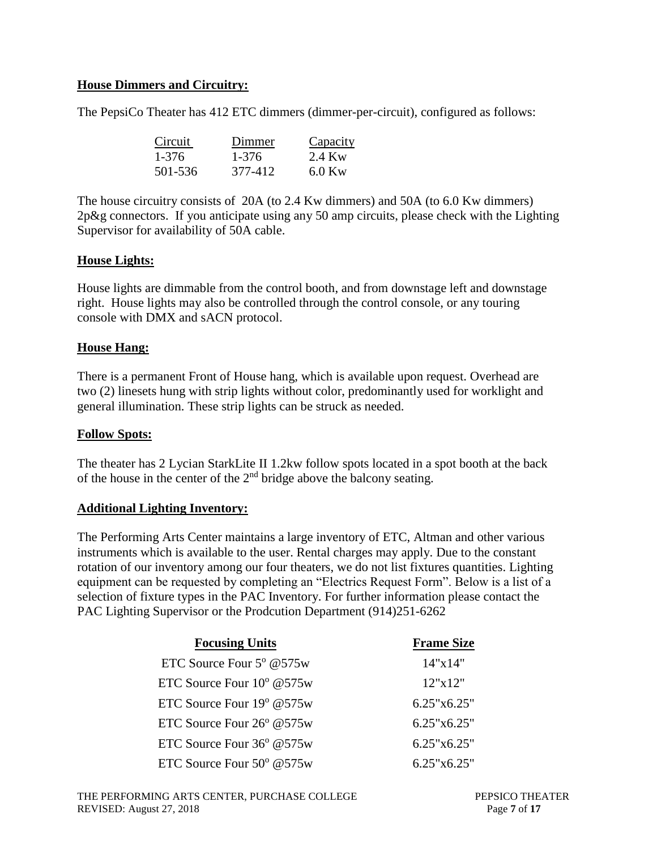# **House Dimmers and Circuitry:**

The PepsiCo Theater has 412 ETC dimmers (dimmer-per-circuit), configured as follows:

| Circuit | Dimmer  | Capacity |
|---------|---------|----------|
| 1-376   | 1-376   | 2.4 Kw   |
| 501-536 | 377-412 | $6.0$ Kw |

The house circuitry consists of 20A (to 2.4 Kw dimmers) and 50A (to 6.0 Kw dimmers) 2p&g connectors. If you anticipate using any 50 amp circuits, please check with the Lighting Supervisor for availability of 50A cable.

### **House Lights:**

House lights are dimmable from the control booth, and from downstage left and downstage right. House lights may also be controlled through the control console, or any touring console with DMX and sACN protocol.

#### **House Hang:**

There is a permanent Front of House hang, which is available upon request. Overhead are two (2) linesets hung with strip lights without color, predominantly used for worklight and general illumination. These strip lights can be struck as needed.

#### **Follow Spots:**

The theater has 2 Lycian StarkLite II 1.2kw follow spots located in a spot booth at the back of the house in the center of the  $2<sup>nd</sup>$  bridge above the balcony seating.

#### **Additional Lighting Inventory:**

The Performing Arts Center maintains a large inventory of ETC, Altman and other various instruments which is available to the user. Rental charges may apply. Due to the constant rotation of our inventory among our four theaters, we do not list fixtures quantities. Lighting equipment can be requested by completing an "Electrics Request Form". Below is a list of a selection of fixture types in the PAC Inventory. For further information please contact the PAC Lighting Supervisor or the Prodcution Department (914)251-6262

| <b>Focusing Units</b>              | <b>Frame Size</b> |
|------------------------------------|-------------------|
| ETC Source Four $5^{\circ}$ @575w  | 14"x14"           |
| ETC Source Four $10^{\circ}$ @575w | 12"x12"           |
| ETC Source Four $19^{\circ}$ @575w | 6.25"x6.25"       |
| ETC Source Four $26^{\circ}$ @575w | 6.25"x6.25"       |
| ETC Source Four $36^{\circ}$ @575w | 6.25"x6.25"       |
| ETC Source Four $50^{\circ}$ @575w | 6.25"x6.25"       |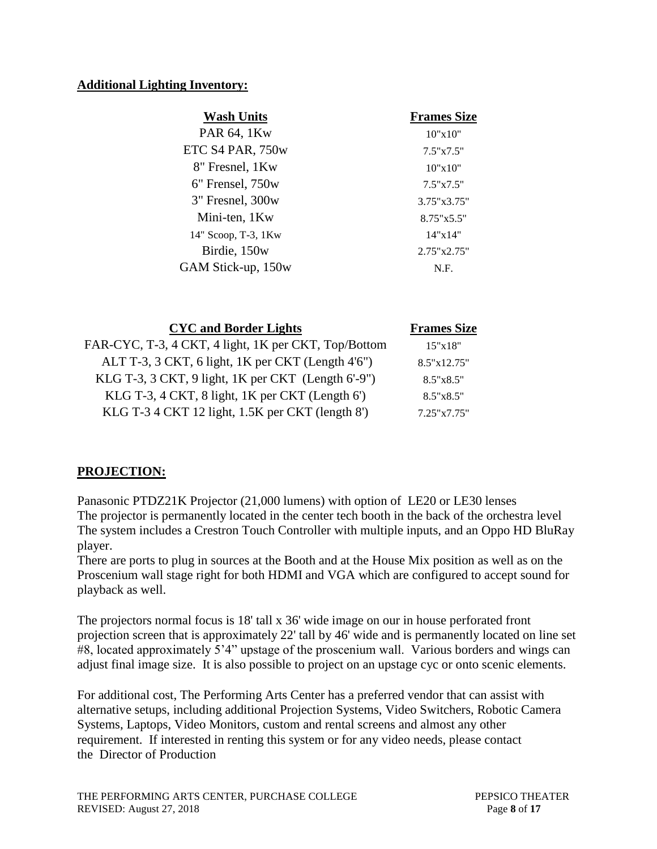# **Additional Lighting Inventory:**

| <b>Wash Units</b>    | <b>Frames Size</b>   |
|----------------------|----------------------|
| PAR 64, 1Kw          | 10"x10"              |
| ETC S4 PAR, 750w     | $7.5" \times 7.5"$   |
| 8" Fresnel, 1Kw      | 10"x10"              |
| $6"$ Frensel, $750w$ | 7.5"x7.5"            |
| 3" Fresnel, 300w     | $3.75" \times 3.75"$ |
| Mini-ten, 1Kw        | $8.75" \times 5.5"$  |
| 14" Scoop, T-3, 1Kw  | 14"x14"              |
| Birdie, 150w         | 2.75"x2.75"          |
| GAM Stick-up, 150w   | N.F.                 |
|                      |                      |

| <b>CYC</b> and Border Lights                         | <b>Frames Size</b> |
|------------------------------------------------------|--------------------|
| FAR-CYC, T-3, 4 CKT, 4 light, 1K per CKT, Top/Bottom | 15"x18"            |
| ALT T-3, 3 CKT, 6 light, 1K per CKT (Length 4'6")    | 8.5"x12.75"        |
| KLG T-3, 3 CKT, 9 light, 1K per CKT (Length 6'-9")   | $8.5" \times 8.5"$ |
| KLG T-3, 4 CKT, 8 light, 1K per CKT (Length 6')      | $8.5" \times 8.5"$ |
| KLG T-3 4 CKT 12 light, 1.5K per CKT (length 8')     | 7.25"x7.75"        |

# **PROJECTION:**

Panasonic PTDZ21K Projector (21,000 lumens) with option of LE20 or LE30 lenses The projector is permanently located in the center tech booth in the back of the orchestra level The system includes a Crestron Touch Controller with multiple inputs, and an Oppo HD BluRay player.

There are ports to plug in sources at the Booth and at the House Mix position as well as on the Proscenium wall stage right for both HDMI and VGA which are configured to accept sound for playback as well.

The projectors normal focus is 18' tall x 36' wide image on our in house perforated front projection screen that is approximately 22' tall by 46' wide and is permanently located on line set #8, located approximately 5'4" upstage of the proscenium wall. Various borders and wings can adjust final image size. It is also possible to project on an upstage cyc or onto scenic elements.

For additional cost, The Performing Arts Center has a preferred vendor that can assist with alternative setups, including additional Projection Systems, Video Switchers, Robotic Camera Systems, Laptops, Video Monitors, custom and rental screens and almost any other requirement. If interested in renting this system or for any video needs, please contact the Director of Production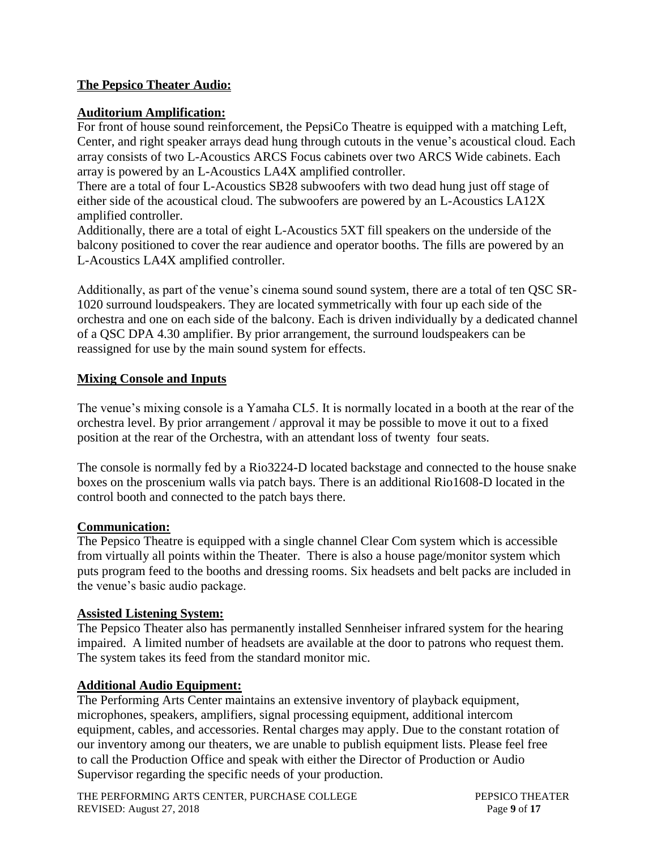# **The Pepsico Theater Audio:**

### **Auditorium Amplification:**

For front of house sound reinforcement, the PepsiCo Theatre is equipped with a matching Left, Center, and right speaker arrays dead hung through cutouts in the venue's acoustical cloud. Each array consists of two L-Acoustics ARCS Focus cabinets over two ARCS Wide cabinets. Each array is powered by an L-Acoustics LA4X amplified controller.

There are a total of four L-Acoustics SB28 subwoofers with two dead hung just off stage of either side of the acoustical cloud. The subwoofers are powered by an L-Acoustics LA12X amplified controller.

Additionally, there are a total of eight L-Acoustics 5XT fill speakers on the underside of the balcony positioned to cover the rear audience and operator booths. The fills are powered by an L-Acoustics LA4X amplified controller.

Additionally, as part of the venue's cinema sound sound system, there are a total of ten QSC SR-1020 surround loudspeakers. They are located symmetrically with four up each side of the orchestra and one on each side of the balcony. Each is driven individually by a dedicated channel of a QSC DPA 4.30 amplifier. By prior arrangement, the surround loudspeakers can be reassigned for use by the main sound system for effects.

### **Mixing Console and Inputs**

The venue's mixing console is a Yamaha CL5. It is normally located in a booth at the rear of the orchestra level. By prior arrangement / approval it may be possible to move it out to a fixed position at the rear of the Orchestra, with an attendant loss of twenty four seats.

The console is normally fed by a Rio3224-D located backstage and connected to the house snake boxes on the proscenium walls via patch bays. There is an additional Rio1608-D located in the control booth and connected to the patch bays there.

### **Communication:**

The Pepsico Theatre is equipped with a single channel Clear Com system which is accessible from virtually all points within the Theater. There is also a house page/monitor system which puts program feed to the booths and dressing rooms. Six headsets and belt packs are included in the venue's basic audio package.

### **Assisted Listening System:**

The Pepsico Theater also has permanently installed Sennheiser infrared system for the hearing impaired. A limited number of headsets are available at the door to patrons who request them. The system takes its feed from the standard monitor mic.

# **Additional Audio Equipment:**

The Performing Arts Center maintains an extensive inventory of playback equipment, microphones, speakers, amplifiers, signal processing equipment, additional intercom equipment, cables, and accessories. Rental charges may apply. Due to the constant rotation of our inventory among our theaters, we are unable to publish equipment lists. Please feel free to call the Production Office and speak with either the Director of Production or Audio Supervisor regarding the specific needs of your production.

THE PERFORMING ARTS CENTER, PURCHASE COLLEGE PEPSICO THEATER REVISED: August 27, 2018 **Page 9** of 17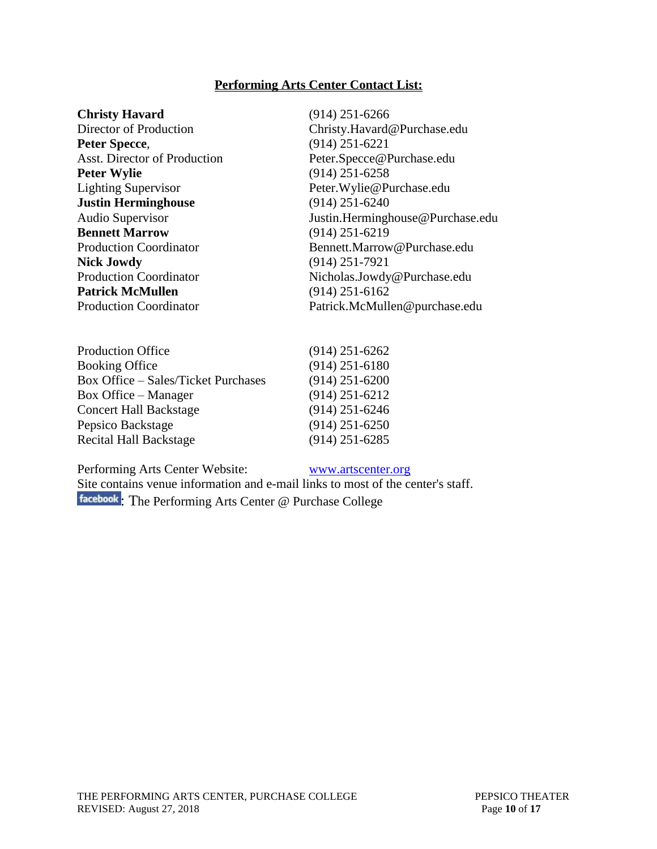## **Performing Arts Center Contact List:**

**Peter Specce,** (914) 251-6221 **Peter Wylie** (914) 251-6258 **Justin Herminghouse** (914) 251-6240 **Nick Jowdy** (914) 251-7921 **Patrick McMullen** (914) 251-6162

**Christy Havard** (914) 251-6266 Director of Production Christy.Havard@Purchase.edu Asst. Director of Production Peter.Specce@Purchase.edu Lighting Supervisor Peter.Wylie@Purchase.edu Audio Supervisor<br> **Audio Supervisor**<br> **Audio Supervisor**<br> **Audio Supervisor**<br> **Audio Supervisor**<br> **Audio Supervisor**<br> **Audio Supervisor**<br> **Audio Supervisor**<br> **Audio Supervisor**<br> **Audio Supervisor**<br> **Audio Supervisor**<br> **Aud Bennett Marrow** (914) 251-6219 Production Coordinator Bennett.Marrow@Purchase.edu Production Coordinator Nicholas.Jowdy@Purchase.edu Production Coordinator Patrick.McMullen@purchase.edu

| <b>Production Office</b>                   | $(914)$ 251-6262 |
|--------------------------------------------|------------------|
| <b>Booking Office</b>                      | $(914)$ 251-6180 |
| <b>Box Office - Sales/Ticket Purchases</b> | $(914)$ 251-6200 |
| <b>Box Office</b> – Manager                | $(914)$ 251-6212 |
| <b>Concert Hall Backstage</b>              | $(914)$ 251-6246 |
| Pepsico Backstage                          | $(914)$ 251-6250 |
| <b>Recital Hall Backstage</b>              | $(914)$ 251-6285 |
|                                            |                  |

Performing Arts Center Website: [www.artscenter.org](http://www.artscenter.org/)

Site contains venue information and e-mail links to most of the center's staff. facebook[:](http://www.facebook.com/#!/pages/The-Performing-Arts-Center-Purchase-College/239798119185) The Performing Arts Center @ Purchase College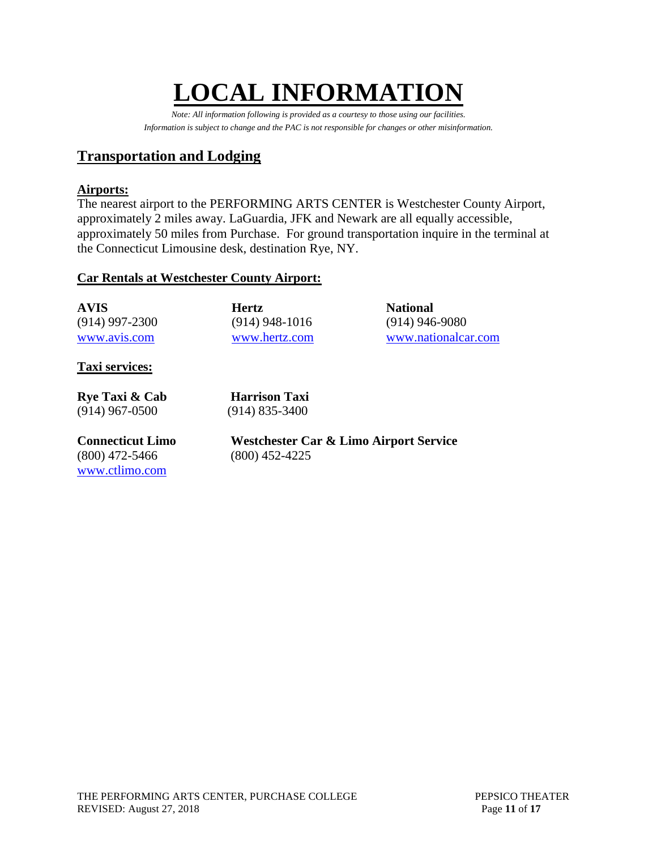# **LOCAL INFORMATIO**

*Note: All information following is provided as a courtesy to those using our facilities. Information is subject to change and the PAC is not responsible for changes or other misinformation.*

# **Transportation and Lodging**

# **Airports:**

The nearest airport to the PERFORMING ARTS CENTER is Westchester County Airport, approximately 2 miles away. LaGuardia, JFK and Newark are all equally accessible, approximately 50 miles from Purchase. For ground transportation inquire in the terminal at the Connecticut Limousine desk, destination Rye, NY.

# **Car Rentals at Westchester County Airport:**

| AVIS -         | <b>Hertz</b>     | <b>National</b>     |
|----------------|------------------|---------------------|
| (914) 997-2300 | $(914)$ 948-1016 | $(914)$ 946-9080    |
| www.avis.com   | www.hertz.com    | www.nationalcar.com |

**Taxi services:**

**Rye Taxi & Cab Harrison Taxi** (914) 967-0500 (914) 835-3400

(800) 472-5466 (800) 452-4225 [www.ctlimo.com](http://www.ctlimo.com/)

**Connecticut Limo Westchester Car & Limo Airport Service**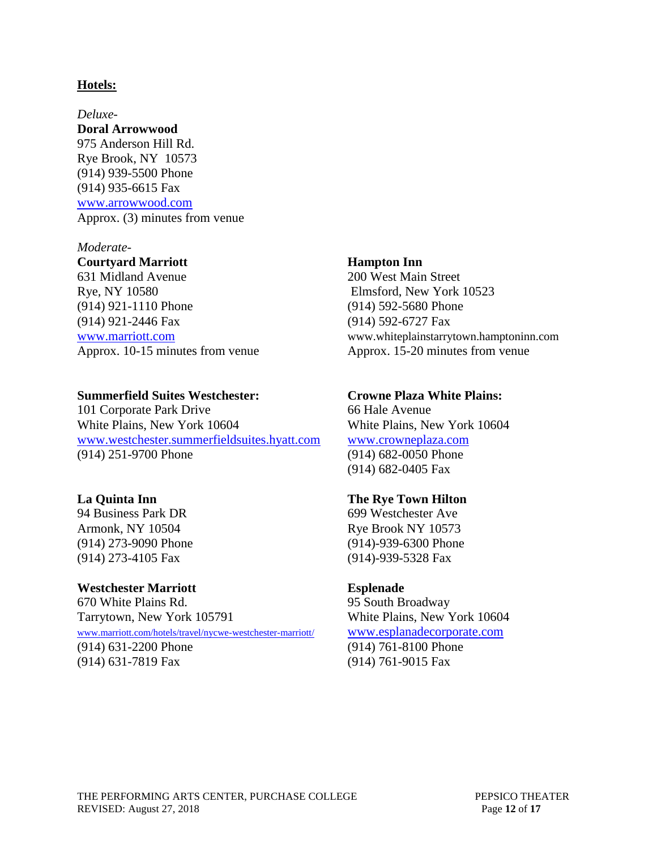#### **Hotels:**

*Deluxe-***Doral Arrowwood** 975 Anderson Hill Rd. Rye Brook, NY 10573 (914) 939-5500 Phone (914) 935-6615 Fax [www.arrowwood.com](http://www.arrowwood.com/) Approx. (3) minutes from venue

#### *Moderate-*

**Courtyard Marriott Hampton Inn** 631 Midland Avenue 200 West Main Street Rye, NY 10580 Elmsford, New York 10523 (914) 921-1110 Phone (914) 592-5680 Phone (914) 921-2446 Fax (914) 592-6727 Fax

#### **Summerfield Suites Westchester: Crowne Plaza White Plains:**

101 Corporate Park Drive 66 Hale Avenue White Plains, New York 10604 White Plains, New York 10604 [www.westchester.summerfieldsuites.hyatt.com](file://///vsfile02/Trevor%20C/Technical%20Info%20working/Pac%20Technical%20Info/Source%20Files/Theater%20A/www.westchester.summerfieldsuites.hyatt.com) [www.crowneplaza.com](http://www.crowneplaza.com/) (914) 251-9700 Phone (914) 682-0050 Phone

94 Business Park DR 699 Westchester Ave Armonk, NY 10504 Rye Brook NY 10573 (914) 273-4105 Fax (914)-939-5328 Fax

#### **Westchester Marriott Esplenade**

670 White Plains Rd. 95 South Broadway Tarrytown, New York 105791 White Plains, New York 10604 [www.marriott.com/hotels/travel/nycwe-westchester-marriott/](http://www.marriott.com/hotels/travel/nycwe-westchester-marriott/) [www.esplanadecorporate.com](file://///vsfile02/Trevor%20C/Technical%20Info%20working/Pac%20Technical%20Info/Source%20Files/Theater%20A/www.esplanadecorporate.com) (914) 631-2200 Phone (914) 761-8100 Phone (914) 631-7819 Fax (914) 761-9015 Fax

[www.marriott.com](http://www.marriott.com/) www.whiteplainstarrytown.hamptoninn.com Approx. 10-15 minutes from venue Approx. 15-20 minutes from venue

(914) 682-0405 Fax

#### **La Quinta Inn The Rye Town Hilton**

(914) 273-9090 Phone (914)-939-6300 Phone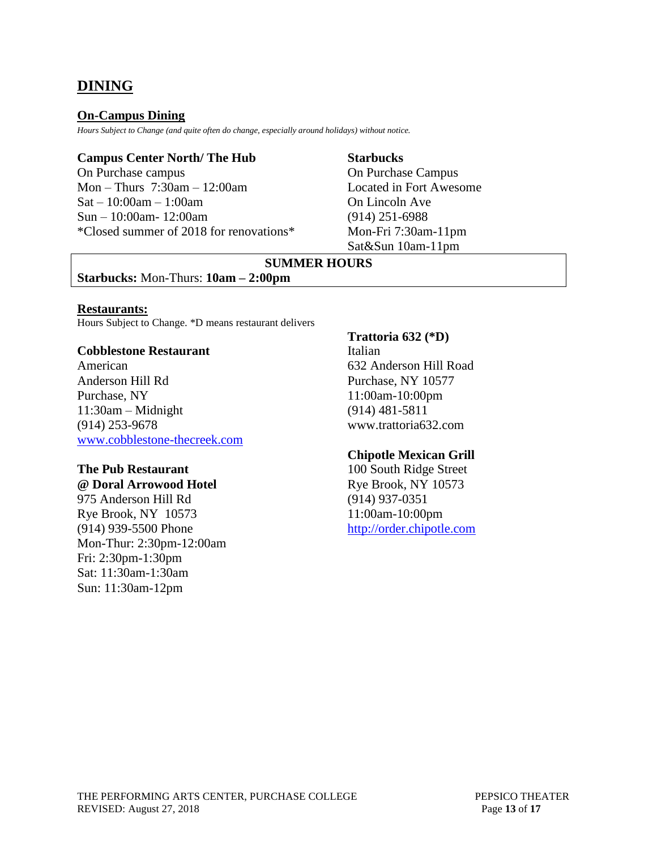# **DINING**

### **On-Campus Dining**

*Hours Subject to Change (and quite often do change, especially around holidays) without notice.*

#### **Campus Center North/ The Hub Starbucks**

On Purchase campus On Purchase Campus Mon – Thurs 7:30am – 12:00am Located in Fort Awesome  $Sat - 10:00am - 1:00am$  On Lincoln Ave Sun – 10:00am- 12:00am (914) 251-6988 \*Closed summer of 2018 for renovations\* Mon-Fri 7:30am-11pm

Sat&Sun 10am-11pm

# **SUMMER HOURS**

### **Starbucks:** Mon-Thurs: **10am – 2:00pm**

#### **Restaurants:**

Hours Subject to Change. \*D means restaurant delivers

#### **Cobblestone Restaurant** Italian

American 632 Anderson Hill Road Anderson Hill Rd Purchase, NY 10577 Purchase, NY 11:00am-10:00pm 11:30am – Midnight (914) 481-5811 (914) 253-9678 www.trattoria632.com [www.cobblestone-thecreek.com](file://///vsfile02/Trevor%20C/Technical%20Info%20working/Pac%20Technical%20Info/Source%20Files/Theater%20A/www.cobblestone-thecreek.com)

# **The Pub Restaurant** 100 South Ridge Street

### **@ Doral Arrowood Hotel Rye Brook, NY 10573**

975 Anderson Hill Rd (914) 937-0351 Rye Brook, NY 10573 11:00am-10:00pm (914) 939-5500 Phone [http://order.chipotle.com](http://order.chipotle.com/) Mon-Thur: 2:30pm-12:00am Fri: 2:30pm-1:30pm Sat: 11:30am-1:30am Sun: 11:30am-12pm

### **Trattoria 632 (\*D)**

### **Chipotle Mexican Grill**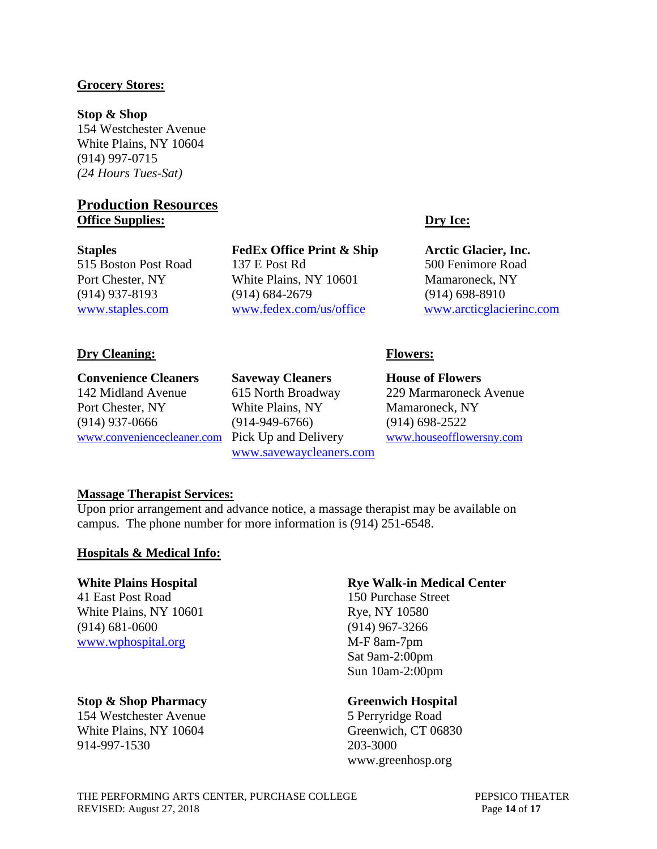## **Grocery Stores:**

**Stop & Shop** 154 Westchester Avenue White Plains, NY 10604 (914) 997-0715 *(24 Hours Tues-Sat)*

# **Production Resources Office Supplies: Dry Ice:**

**Staples FedEx Office Print & Ship Arctic Glacier, Inc.** 515 Boston Post Road 137 E Post Rd 500 Fenimore Road Port Chester, NY White Plains, NY 10601 Mamaroneck, NY (914) 937-8193 (914) 684-2679 (914) 698-8910 [www.staples.com](file://///vsfile02/Trevor%20C/Technical%20Info%20working/Pac%20Technical%20Info/Source%20Files/Theater%20A/www.staples.com) [www.fedex.com/us/office](file://///vsfile02/Trevor%20C/Technical%20Info%20working/Pac%20Technical%20Info/Source%20Files/Theater%20A/www.fedex.com/us/office) [www.arcticglacierinc.com](file://///vsfile02/Trevor%20C/Technical%20Info%20working/Pac%20Technical%20Info/Source%20Files/Theater%20A/www.arcticglacierinc.com)

## **Dry Cleaning: Flowers:**

**Convenience Cleaners Saveway Cleaners House of Flowers** 142 Midland Avenue 615 North Broadway 229 Marmaroneck Avenue Port Chester, NY White Plains, NY Mamaroneck, NY (914) 937-0666 (914-949-6766) (914) 698-2522 [www.conveniencecleaner.com](file://///vsfile02/Trevor%20C/Technical%20Info%20working/Pac%20Technical%20Info/Source%20Files/Theater%20A/www.conveniencecleaner.com) Pick Up and Delivery [www.houseofflowersny.com](http://www.houseofflowersny.com/)

[www.savewaycleaners.com](http://www.savewaycleaners.com/)

### **Massage Therapist Services:**

Upon prior arrangement and advance notice, a massage therapist may be available on campus. The phone number for more information is (914) 251-6548.

### **Hospitals & Medical Info:**

41 East Post Road 150 Purchase Street White Plains, NY 10601 Rye, NY 10580 (914) 681-0600 (914) 967-3266 [www.wphospital.org](http://www.wphospital.org/) M-F 8am-7pm

### **Stop & Shop Pharmacy Greenwich Hospital**

154 Westchester Avenue 5 Perryridge Road White Plains, NY 10604 Greenwich, CT 06830 914-997-1530 203-3000

# **White Plains Hospital Rye Walk-in Medical Center**

Sat 9am-2:00pm Sun 10am-2:00pm

www.greenhosp.org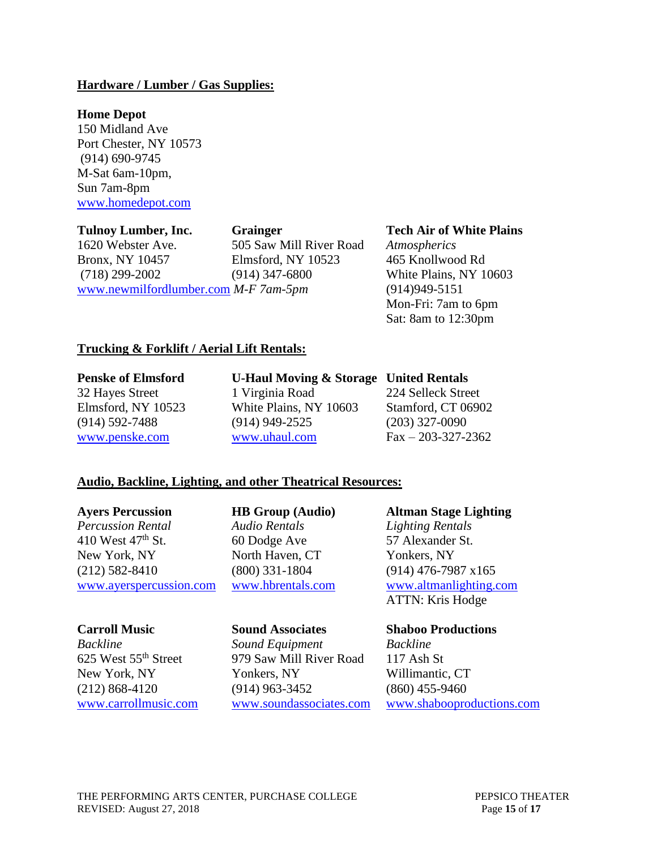### **Hardware / Lumber / Gas Supplies:**

### **Home Depot**

150 Midland Ave Port Chester, NY 10573 (914) 690-9745 M-Sat 6am-10pm, Sun 7am-8pm [www.homedepot.com](http://www.homedepot.com/)

1620 Webster Ave. 505 Saw Mill River Road *Atmospherics* Bronx, NY 10457 Elmsford, NY 10523 465 Knollwood Rd (718) 299-2002 (914) 347-6800 White Plains, NY 10603 [www.newmilfordlumber.com](http://www.newmilfordlumber.com/) *M-F 7am-5pm* (914)949-5151

#### **Tulnoy Lumber, Inc. Grainger Tech Air of White Plains**

Mon-Fri: 7am to 6pm Sat: 8am to 12:30pm

## **Trucking & Forklift / Aerial Lift Rentals:**

**Penske of Elmsford U-Haul Moving & Storage United Rentals**

# 32 Hayes Street 1 Virginia Road 224 Selleck Street Elmsford, NY 10523 White Plains, NY 10603 Stamford, CT 06902 (914) 592-7488 (914) 949-2525 (203) 327-0090 [www.penske.com](http://www.penske.com/) [www.uhaul.com](http://www.uhaul.com/) Fax – 203-327-2362

### **Audio, Backline, Lighting, and other Theatrical Resources:**

*Percussion Rental Audio Rentals Lighting Rentals* 410 West 47<sup>th</sup> St. 60 Dodge Ave 57 Alexander St. New York, NY North Haven, CT Yonkers, NY (212) 582-8410 (800) 331-1804 (914) 476-7987 x165 [www.ayerspercussion.com](file:///C:/Documents%20and%20Settings/christy.havard/Desktop/www.ayerspercussion.com) [www.hbrentals.com](file:///C:/Documents%20and%20Settings/christy.havard/Desktop/www.hbrentals.com) [www.altmanlighting.com](file:///C:/Documents%20and%20Settings/christy.havard/Desktop/www.altmanlighting.com)

*Backline Sound Equipment Backline* 625 West 55th Street 979 Saw Mill River Road 117 Ash St New York, NY Yonkers, NY Willimantic, CT (212) 868-4120 (914) 963-3452 (860) 455-9460

**Ayers Percussion HB Group (Audio) Altman Stage Lighting** ATTN: Kris Hodge

### **Carroll Music Sound Associates Shaboo Productions**

[www.carrollmusic.com](http://www.carrollmusic.com/) [www.soundassociates.com](http://www.soundassociates.com/) [www.shabooproductions.com](file:///C:/Documents%20and%20Settings/christy.havard/Desktop/www.shabooproductions.com)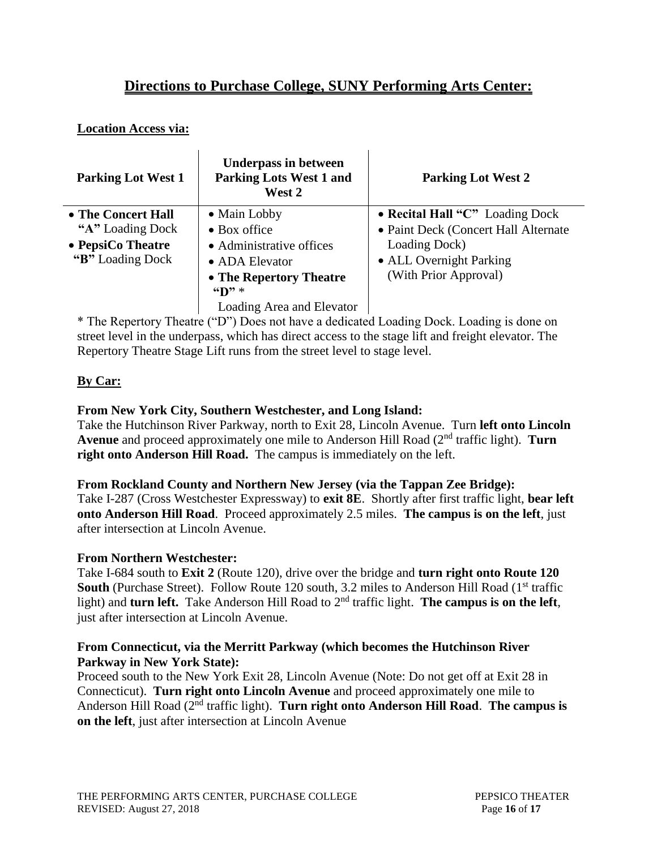# **Directions to Purchase College, SUNY Performing Arts Center:**

# **Location Access via:**

| <b>Parking Lot West 1</b>                                                        | <b>Underpass in between</b><br><b>Parking Lots West 1 and</b><br>West 2                                                                                                              | <b>Parking Lot West 2</b>                                                                                                                    |
|----------------------------------------------------------------------------------|--------------------------------------------------------------------------------------------------------------------------------------------------------------------------------------|----------------------------------------------------------------------------------------------------------------------------------------------|
| • The Concert Hall<br>"A" Loading Dock<br>• PepsiCo Theatre<br>"B" Loading Dock" | • Main Lobby<br>$\bullet$ Box office<br>• Administrative offices<br>• ADA Elevator<br>• The Repertory Theatre<br>$\mathbf{H}$ $\mathbf{D}$ $\mathbf{H}$<br>Loading Area and Elevator | • Recital Hall "C" Loading Dock<br>• Paint Deck (Concert Hall Alternate<br>Loading Dock)<br>• ALL Overnight Parking<br>(With Prior Approval) |

\* The Repertory Theatre ("D") Does not have a dedicated Loading Dock. Loading is done on street level in the underpass, which has direct access to the stage lift and freight elevator. The Repertory Theatre Stage Lift runs from the street level to stage level.

# **By Car:**

# **From New York City, Southern Westchester, and Long Island:**

Take the Hutchinson River Parkway, north to Exit 28, Lincoln Avenue. Turn **left onto Lincoln Avenue** and proceed approximately one mile to Anderson Hill Road (2nd traffic light). **Turn right onto Anderson Hill Road.** The campus is immediately on the left.

# **From Rockland County and Northern New Jersey (via the Tappan Zee Bridge):**

Take I-287 (Cross Westchester Expressway) to **exit 8E**. Shortly after first traffic light, **bear left onto Anderson Hill Road**. Proceed approximately 2.5 miles. **The campus is on the left**, just after intersection at Lincoln Avenue.

# **From Northern Westchester:**

Take I-684 south to **Exit 2** (Route 120), drive over the bridge and **turn right onto Route 120 South** (Purchase Street). Follow Route 120 south, 3.2 miles to Anderson Hill Road (1<sup>st</sup> traffic light) and **turn left.** Take Anderson Hill Road to 2<sup>nd</sup> traffic light. **The campus is on the left**, just after intersection at Lincoln Avenue.

# **From Connecticut, via the Merritt Parkway (which becomes the Hutchinson River Parkway in New York State):**

Proceed south to the New York Exit 28, Lincoln Avenue (Note: Do not get off at Exit 28 in Connecticut). **Turn right onto Lincoln Avenue** and proceed approximately one mile to Anderson Hill Road (2nd traffic light). **Turn right onto Anderson Hill Road**. **The campus is on the left**, just after intersection at Lincoln Avenue